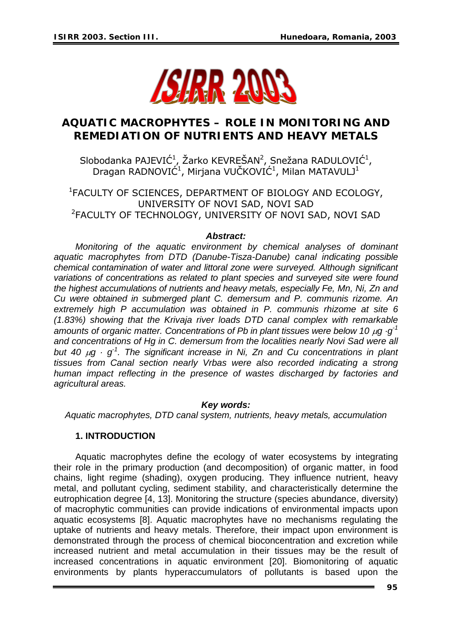

# **AQUATIC MACROPHYTES – ROLE IN MONITORING AND REMEDIATION OF NUTRIENTS AND HEAVY METALS**

Slobodanka PAJEVIĆ<sup>1</sup>, Žarko KEVREŠAN<sup>2</sup>, Snežana RADULOVIĆ<sup>1</sup>, Dragan RADNOVIĆ<sup>1</sup>, Mirjana VUČKOVIĆ<sup>1</sup>, Milan MATAVULJ<sup>1</sup>

1 FACULTY OF SCIENCES, DEPARTMENT OF BIOLOGY AND ECOLOGY, UNIVERSITY OF NOVI SAD, NOVI SAD 2 FACULTY OF TECHNOLOGY, UNIVERSITY OF NOVI SAD, NOVI SAD

## *Abstract:*

*Monitoring of the aquatic environment by chemical analyses of dominant aquatic macrophytes from DTD (Danube-Tisza-Danube) canal indicating possible chemical contamination of water and littoral zone were surveyed. Although significant variations of concentrations as related to plant species and surveyed site were found the highest accumulations of nutrients and heavy metals, especially Fe, Mn, Ni, Zn and Cu were obtained in submerged plant C. demersum and P. communis rizome. An extremely high P accumulation was obtained in P. communis rhizome at site 6 (1.83%) showing that the Krivaja river loads DTD canal complex with remarkable amounts of organic matter. Concentrations of Pb in plant tissues were below 10* μ*g ·g-1 and concentrations of Hg in C. demersum from the localities nearly Novi Sad were all but 40* μ*g · g-1. The significant increase in Ni, Zn and Cu concentrations in plant tissues from Canal section nearly Vrbas were also recorded indicating a strong human impact reflecting in the presence of wastes discharged by factories and agricultural areas.* 

## *Key words:*

*Aquatic macrophytes, DTD canal system, nutrients, heavy metals, accumulation* 

## **1. INTRODUCTION**

Aquatic macrophytes define the ecology of water ecosystems by integrating their role in the primary production (and decomposition) of organic matter, in food chains, light regime (shading), oxygen producing. They influence nutrient, heavy metal, and pollutant cycling, sediment stability, and characteristically determine the eutrophication degree [4, 13]. Monitoring the structure (species abundance, diversity) of macrophytic communities can provide indications of environmental impacts upon aquatic ecosystems [8]. Aquatic macrophytes have no mechanisms regulating the uptake of nutrients and heavy metals. Therefore, their impact upon environment is demonstrated through the process of chemical bioconcentration and excretion while increased nutrient and metal accumulation in their tissues may be the result of increased concentrations in aquatic environment [20]. Biomonitoring of aquatic environments by plants hyperaccumulators of pollutants is based upon the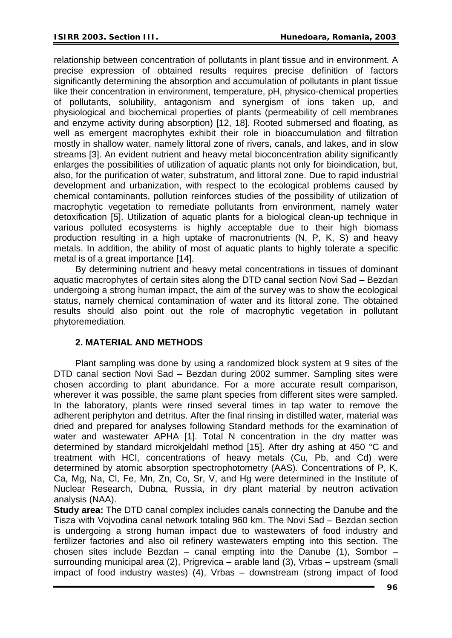relationship between concentration of pollutants in plant tissue and in environment. A precise expression of obtained results requires precise definition of factors significantly determining the absorption and accumulation of pollutants in plant tissue like their concentration in environment, temperature, pH, physico-chemical properties of pollutants, solubility, antagonism and synergism of ions taken up, and physiological and biochemical properties of plants (permeability of cell membranes and enzyme activity during absorption) [12, 18]. Rooted submersed and floating, as well as emergent macrophytes exhibit their role in bioaccumulation and filtration mostly in shallow water, namely littoral zone of rivers, canals, and lakes, and in slow streams [3]. An evident nutrient and heavy metal bioconcentration ability significantly enlarges the possibilities of utilization of aquatic plants not only for bioindication, but, also, for the purification of water, substratum, and littoral zone. Due to rapid industrial development and urbanization, with respect to the ecological problems caused by chemical contaminants, pollution reinforces studies of the possibility of utilization of macrophytic vegetation to remediate pollutants from environment, namely water detoxification [5]. Utilization of aquatic plants for a biological clean-up technique in various polluted ecosystems is highly acceptable due to their high biomass production resulting in a high uptake of macronutrients (N, P, K, S) and heavy metals. In addition, the ability of most of aquatic plants to highly tolerate a specific metal is of a great importance [14].

By determining nutrient and heavy metal concentrations in tissues of dominant aquatic macrophytes of certain sites along the DTD canal section Novi Sad – Bezdan undergoing a strong human impact, the aim of the survey was to show the ecological status, namely chemical contamination of water and its littoral zone. The obtained results should also point out the role of macrophytic vegetation in pollutant phytoremediation.

# **2. MATERIAL AND METHODS**

Plant sampling was done by using a randomized block system at 9 sites of the DTD canal section Novi Sad – Bezdan during 2002 summer. Sampling sites were chosen according to plant abundance. For a more accurate result comparison, wherever it was possible, the same plant species from different sites were sampled. In the laboratory, plants were rinsed several times in tap water to remove the adherent periphyton and detritus. After the final rinsing in distilled water, material was dried and prepared for analyses following Standard methods for the examination of water and wastewater APHA [1]. Total N concentration in the dry matter was determined by standard microkjeldahl method [15]. After dry ashing at 450 °C and treatment with HCl, concentrations of heavy metals (Cu, Pb, and Cd) were determined by atomic absorption spectrophotometry (AAS). Concentrations of P, K, Ca, Mg, Na, Cl, Fe, Mn, Zn, Co, Sr, V, and Hg were determined in the Institute of Nuclear Research, Dubna, Russia, in dry plant material by neutron activation analysis (NAA).

**Study area:** The DTD canal complex includes canals connecting the Danube and the Tisza with Vojvodina canal network totaling 960 km. The Novi Sad – Bezdan section is undergoing a strong human impact due to wastewaters of food industry and fertilizer factories and also oil refinery wastewaters empting into this section. The chosen sites include Bezdan – canal empting into the Danube (1), Sombor – surrounding municipal area (2), Prigrevica – arable land (3), Vrbas – upstream (small impact of food industry wastes) (4), Vrbas – downstream (strong impact of food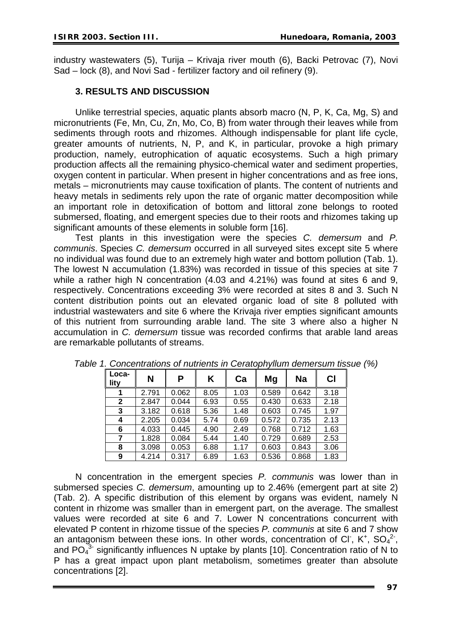industry wastewaters (5), Turija – Krivaja river mouth (6), Backi Petrovac (7), Novi Sad – lock (8), and Novi Sad - fertilizer factory and oil refinery (9).

# **3. RESULTS AND DISCUSSION**

Unlike terrestrial species, aquatic plants absorb macro (N, P, K, Ca, Mg, S) and micronutrients (Fe, Mn, Cu, Zn, Mo, Co, B) from water through their leaves while from sediments through roots and rhizomes. Although indispensable for plant life cycle, greater amounts of nutrients, N, P, and K, in particular, provoke a high primary production, namely, eutrophication of aquatic ecosystems. Such a high primary production affects all the remaining physico-chemical water and sediment properties, oxygen content in particular. When present in higher concentrations and as free ions, metals – micronutrients may cause toxification of plants. The content of nutrients and heavy metals in sediments rely upon the rate of organic matter decomposition while an important role in detoxification of bottom and littoral zone belongs to rooted submersed, floating, and emergent species due to their roots and rhizomes taking up significant amounts of these elements in soluble form [16].

Test plants in this investigation were the species *C. demersum* and *P. communis*. Species *C. demersum* occurred in all surveyed sites except site 5 where no individual was found due to an extremely high water and bottom pollution (Tab. 1). The lowest N accumulation (1.83%) was recorded in tissue of this species at site 7 while a rather high N concentration (4.03 and 4.21%) was found at sites 6 and 9, respectively. Concentrations exceeding 3% were recorded at sites 8 and 3. Such N content distribution points out an elevated organic load of site 8 polluted with industrial wastewaters and site 6 where the Krivaja river empties significant amounts of this nutrient from surrounding arable land. The site 3 where also a higher N accumulation in *C. demersum* tissue was recorded confirms that arable land areas are remarkable pollutants of streams.

| Loca-<br>lity | N     | P     | K    | Ca   | Mg    | Na    | <b>CI</b> |
|---------------|-------|-------|------|------|-------|-------|-----------|
|               | 2.791 | 0.062 | 8.05 | 1.03 | 0.589 | 0.642 | 3.18      |
| $\mathbf{2}$  | 2.847 | 0.044 | 6.93 | 0.55 | 0.430 | 0.633 | 2.18      |
| 3             | 3.182 | 0.618 | 5.36 | 1.48 | 0.603 | 0.745 | 1.97      |
| 4             | 2.205 | 0.034 | 5.74 | 0.69 | 0.572 | 0.735 | 2.13      |
| 6             | 4.033 | 0.445 | 4.90 | 2.49 | 0.768 | 0.712 | 1.63      |
| 7             | 1.828 | 0.084 | 5.44 | 1.40 | 0.729 | 0.689 | 2.53      |
| 8             | 3.098 | 0.053 | 6.88 | 1.17 | 0.603 | 0.843 | 3.06      |
| 9             | 4.214 | 0.317 | 6.89 | 1.63 | 0.536 | 0.868 | 1.83      |

*Table 1. Concentrations of nutrients in Ceratophyllum demersum tissue (%)* 

N concentration in the emergent species *P. communis* was lower than in submersed species *C. demersum*, amounting up to 2.46% (emergent part at site 2) (Tab. 2). A specific distribution of this element by organs was evident, namely N content in rhizome was smaller than in emergent part, on the average. The smallest values were recorded at site 6 and 7. Lower N concentrations concurrent with elevated P content in rhizome tissue of the species *P. communis* at site 6 and 7 show an antagonism between these ions. In other words, concentration of CI,  $K^+$ , SO<sub>4</sub><sup>2</sup>, and  $PO<sub>4</sub><sup>3</sup>$  significantly influences N uptake by plants [10]. Concentration ratio of N to P has a great impact upon plant metabolism, sometimes greater than absolute concentrations [2].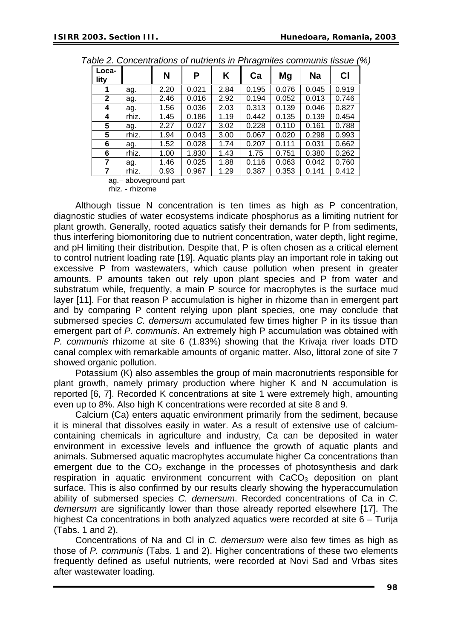| Loca-<br>lity |       | N    | P     | K    | -<br>Ca | Mg    | <b>Na</b> | <b>CI</b> |
|---------------|-------|------|-------|------|---------|-------|-----------|-----------|
| 1             | ag.   | 2.20 | 0.021 | 2.84 | 0.195   | 0.076 | 0.045     | 0.919     |
| $\mathbf{2}$  | ag.   | 2.46 | 0.016 | 2.92 | 0.194   | 0.052 | 0.013     | 0.746     |
| 4             | ag.   | 1.56 | 0.036 | 2.03 | 0.313   | 0.139 | 0.046     | 0.827     |
| 4             | rhiz. | 1.45 | 0.186 | 1.19 | 0.442   | 0.135 | 0.139     | 0.454     |
| 5             | ag.   | 2.27 | 0.027 | 3.02 | 0.228   | 0.110 | 0.161     | 0.788     |
| 5             | rhiz. | 1.94 | 0.043 | 3.00 | 0.067   | 0.020 | 0.298     | 0.993     |
| 6             | ag.   | 1.52 | 0.028 | 1.74 | 0.207   | 0.111 | 0.031     | 0.662     |
| 6             | rhiz. | 1.00 | 1.830 | 1.43 | 1.75    | 0.751 | 0.380     | 0.262     |
| 7             | ag.   | 1.46 | 0.025 | 1.88 | 0.116   | 0.063 | 0.042     | 0.760     |
| 7             | rhiz. | 0.93 | 0.967 | 1.29 | 0.387   | 0.353 | 0.141     | 0.412     |

| Table 2. Concentrations of nutrients in Phragmites communis tissue (%) |  |  |
|------------------------------------------------------------------------|--|--|
|                                                                        |  |  |

ag.– aboveground part

rhiz. - rhizome

Although tissue N concentration is ten times as high as P concentration, diagnostic studies of water ecosystems indicate phosphorus as a limiting nutrient for plant growth. Generally, rooted aquatics satisfy their demands for P from sediments, thus interfering biomonitoring due to nutrient concentration, water depth, light regime, and pH limiting their distribution. Despite that, P is often chosen as a critical element to control nutrient loading rate [19]. Aquatic plants play an important role in taking out excessive P from wastewaters, which cause pollution when present in greater amounts. P amounts taken out rely upon plant species and P from water and substratum while, frequently, a main P source for macrophytes is the surface mud layer [11]. For that reason P accumulation is higher in rhizome than in emergent part and by comparing P content relying upon plant species, one may conclude that submersed species *C. demersum* accumulated few times higher P in its tissue than emergent part of *P. communis*. An extremely high P accumulation was obtained with *P. communis* rhizome at site 6 (1.83%) showing that the Krivaja river loads DTD canal complex with remarkable amounts of organic matter. Also, littoral zone of site 7 showed organic pollution.

Potassium (K) also assembles the group of main macronutrients responsible for plant growth, namely primary production where higher K and N accumulation is reported [6, 7]. Recorded K concentrations at site 1 were extremely high, amounting even up to 8%. Also high K concentrations were recorded at site 8 and 9.

Calcium (Ca) enters aquatic environment primarily from the sediment, because it is mineral that dissolves easily in water. As a result of extensive use of calciumcontaining chemicals in agriculture and industry, Ca can be deposited in water environment in excessive levels and influence the growth of aquatic plants and animals. Submersed aquatic macrophytes accumulate higher Ca concentrations than emergent due to the  $CO<sub>2</sub>$  exchange in the processes of photosynthesis and dark respiration in aquatic environment concurrent with  $CaCO<sub>3</sub>$  deposition on plant surface. This is also confirmed by our results clearly showing the hyperaccumulation ability of submersed species *C. demersum*. Recorded concentrations of Ca in *C. demersum* are significantly lower than those already reported elsewhere [17]. The highest Ca concentrations in both analyzed aquatics were recorded at site 6 – Turija (Tabs. 1 and 2).

Concentrations of Na and Cl in *C. demersum* were also few times as high as those of *P. communis* (Tabs. 1 and 2). Higher concentrations of these two elements frequently defined as useful nutrients, were recorded at Novi Sad and Vrbas sites after wastewater loading.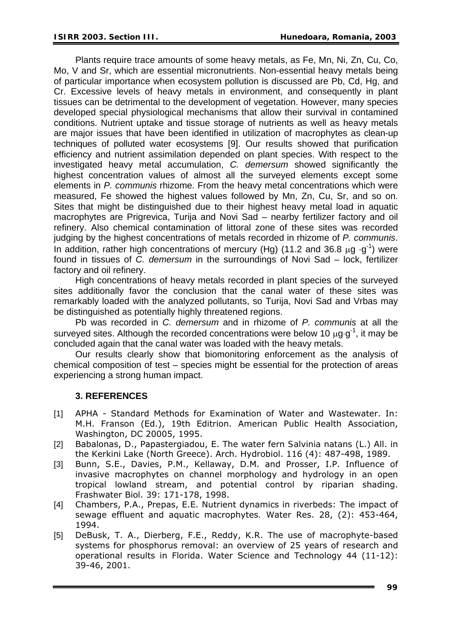Plants require trace amounts of some heavy metals, as Fe, Mn, Ni, Zn, Cu, Co, Mo, V and Sr, which are essential micronutrients. Non-essential heavy metals being of particular importance when ecosystem pollution is discussed are Pb, Cd, Hg, and Cr. Excessive levels of heavy metals in environment, and consequently in plant tissues can be detrimental to the development of vegetation. However, many species developed special physiological mechanisms that allow their survival in contamined conditions. Nutrient uptake and tissue storage of nutrients as well as heavy metals are major issues that have been identified in utilization of macrophytes as clean-up techniques of polluted water ecosystems [9]. Our results showed that purification efficiency and nutrient assimilation depended on plant species. With respect to the investigated heavy metal accumulation, *C. demersum* showed significantly the highest concentration values of almost all the surveyed elements except some elements in *P. communis* rhizome. From the heavy metal concentrations which were measured, Fe showed the highest values followed by Mn, Zn, Cu, Sr, and so on. Sites that might be distinguished due to their highest heavy metal load in aquatic macrophytes are Prigrevica, Turija and Novi Sad – nearby fertilizer factory and oil refinery. Also chemical contamination of littoral zone of these sites was recorded judging by the highest concentrations of metals recorded in rhizome of *P. communis*. In addition, rather high concentrations of mercury (Hg) (11.2 and 36.8  $\mu$ g ·g<sup>-1</sup>) were found in tissues of *C. demersum* in the surroundings of Novi Sad – lock, fertilizer factory and oil refinery.

High concentrations of heavy metals recorded in plant species of the surveyed sites additionally favor the conclusion that the canal water of these sites was remarkably loaded with the analyzed pollutants, so Turija, Novi Sad and Vrbas may be distinguished as potentially highly threatened regions.

Pb was recorded in *C. demersum* and in rhizome of *P. communis* at all the surveyed sites. Although the recorded concentrations were below 10  $\mu$ g⋅g<sup>-1</sup>, it may be concluded again that the canal water was loaded with the heavy metals.

Our results clearly show that biomonitoring enforcement as the analysis of chemical composition of test – species might be essential for the protection of areas experiencing a strong human impact.

## **3. REFERENCES**

- [1] APHA Standard Methods for Examination of Water and Wastewater. In: M.H. Franson (Ed.), 19th Editrion. American Public Health Association, Washington, DC 20005, 1995.
- [2] Babalonas, D., Papastergiadou, E. The water fern *Salvinia natans* (L.) All. in the Kerkini Lake (North Greece). Arch. Hydrobiol. 116 (4): 487-498, 1989.
- [3] Bunn, S.E., Davies, P.M., Kellaway, D.M. and Prosser, I.P. Influence of invasive macrophytes on channel morphology and hydrology in an open tropical lowland stream, and potential control by riparian shading. Frashwater Biol. 39: 171-178, 1998.
- [4] Chambers, P.A., Prepas, E.E. Nutrient dynamics in riverbeds: The impact of sewage effluent and aquatic macrophytes*.* Water Res. 28, (2): 453-464, 1994.
- [5] DeBusk, T. A., Dierberg, F.E., Reddy, K.R. The use of macrophyte-based systems for phosphorus removal: an overview of 25 years of research and operational results in Florida. Water Science and Technology 44 (11-12): 39-46, 2001.